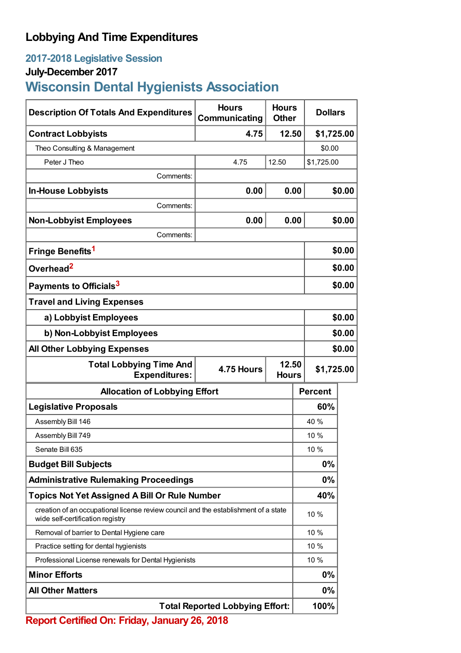# **Lobbying And Time Expenditures**

## **2017-2018 Legislative Session**

### **July-December 2017**

# **Wisconsin Dental Hygienists Association**

| <b>Description Of Totals And Expenditures</b>                                                                           | <b>Hours</b><br>Communicating          | <b>Hours</b><br><b>Other</b> | <b>Dollars</b> |        |
|-------------------------------------------------------------------------------------------------------------------------|----------------------------------------|------------------------------|----------------|--------|
| <b>Contract Lobbyists</b>                                                                                               | 4.75                                   | 12.50                        | \$1,725.00     |        |
| Theo Consulting & Management                                                                                            |                                        |                              | \$0.00         |        |
| Peter J Theo                                                                                                            | 4.75                                   | 12.50                        | \$1,725.00     |        |
| Comments:                                                                                                               |                                        |                              |                |        |
| <b>In-House Lobbyists</b>                                                                                               | 0.00                                   | 0.00                         |                | \$0.00 |
| Comments:                                                                                                               |                                        |                              |                |        |
| <b>Non-Lobbyist Employees</b>                                                                                           | 0.00                                   | 0.00                         |                | \$0.00 |
| Comments:                                                                                                               |                                        |                              |                |        |
| Fringe Benefits <sup>1</sup>                                                                                            |                                        |                              |                | \$0.00 |
| Overhead <sup>2</sup>                                                                                                   |                                        |                              |                | \$0.00 |
| Payments to Officials <sup>3</sup>                                                                                      |                                        |                              |                | \$0.00 |
| <b>Travel and Living Expenses</b>                                                                                       |                                        |                              |                |        |
| a) Lobbyist Employees                                                                                                   |                                        |                              |                | \$0.00 |
| b) Non-Lobbyist Employees                                                                                               |                                        |                              |                | \$0.00 |
| <b>All Other Lobbying Expenses</b>                                                                                      |                                        |                              |                | \$0.00 |
| 12.50<br><b>Total Lobbying Time And</b><br>4.75 Hours<br><b>Expenditures:</b><br><b>Hours</b>                           |                                        |                              | \$1,725.00     |        |
| <b>Allocation of Lobbying Effort</b>                                                                                    |                                        |                              | <b>Percent</b> |        |
| <b>Legislative Proposals</b>                                                                                            |                                        |                              | 60%            |        |
| Assembly Bill 146                                                                                                       |                                        |                              | 40 %           |        |
| Assembly Bill 749                                                                                                       |                                        |                              | 10 %           |        |
| Senate Bill 635                                                                                                         |                                        |                              | 10%            |        |
| <b>Budget Bill Subjects</b>                                                                                             |                                        |                              | $0\%$          |        |
| <b>Administrative Rulemaking Proceedings</b>                                                                            |                                        |                              | $0\%$          |        |
| <b>Topics Not Yet Assigned A Bill Or Rule Number</b>                                                                    |                                        |                              | 40%            |        |
| creation of an occupational license review council and the establishment of a state<br>wide self-certification registry |                                        |                              | 10 %           |        |
| Removal of barrier to Dental Hygiene care                                                                               |                                        |                              | 10 %           |        |
| Practice setting for dental hygienists                                                                                  |                                        |                              | 10 %           |        |
| Professional License renewals for Dental Hygienists                                                                     |                                        |                              | 10 %           |        |
| <b>Minor Efforts</b>                                                                                                    |                                        |                              | $0\%$          |        |
| <b>All Other Matters</b>                                                                                                |                                        |                              | $0\%$          |        |
|                                                                                                                         | <b>Total Reported Lobbying Effort:</b> |                              | 100%           |        |

**Report Certified On: Friday, January 26, 2018**